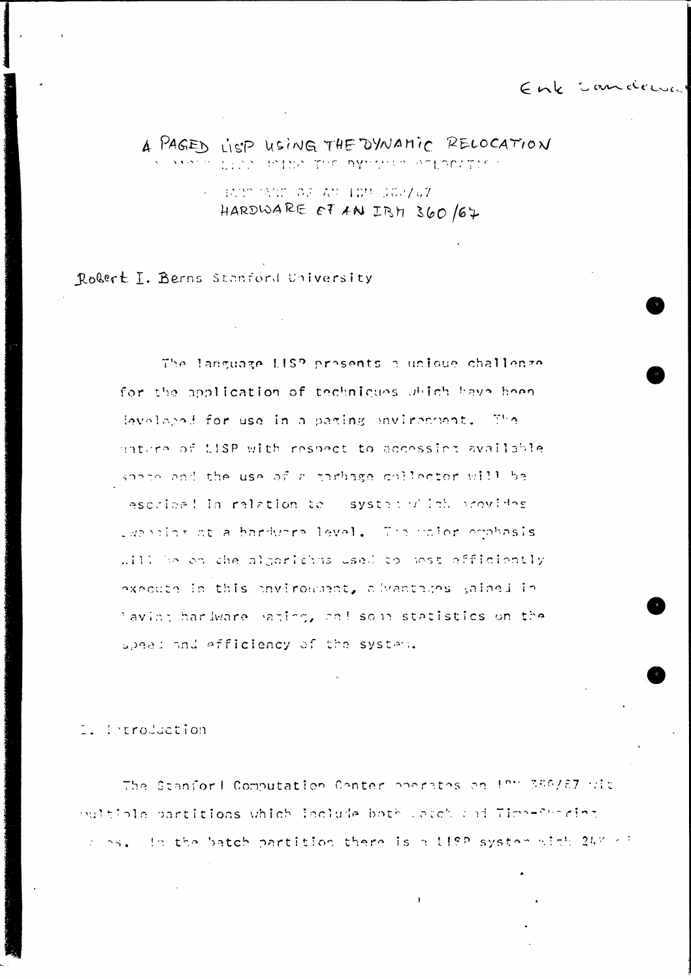Enk candema

A PAGED LISP USING THE DYNAMIC RELOCATION MALA LICA POINA THE DYNAMIA ATLACITICA

> $\sim$  BARD MART OF AN IDM SCR/67 HARDWARE OF AN IRM 360/67

Robert I. Berns Stanford University

The language LISP prosents a unique challenge for the application of techniques which have been leveloped for use in a paring mavironment. The nature of LISP with respect to accessing available space and the use of a parbage collector will be escribe! In relation to systed witch provides ewarding at a hardwore level. The naior emphasis will be en the algorithms used to most efficiently execute in this environment, alvantages gained in laving hardware paging, and some statistics on the speed and efficiency of the system.

. Production

The Stanford Computation Conter poerates and PH 350/87 wit pultible partitions which leclude both Latch and Timp-Shoring clos. In the batch partition there is a 119P system with 24% of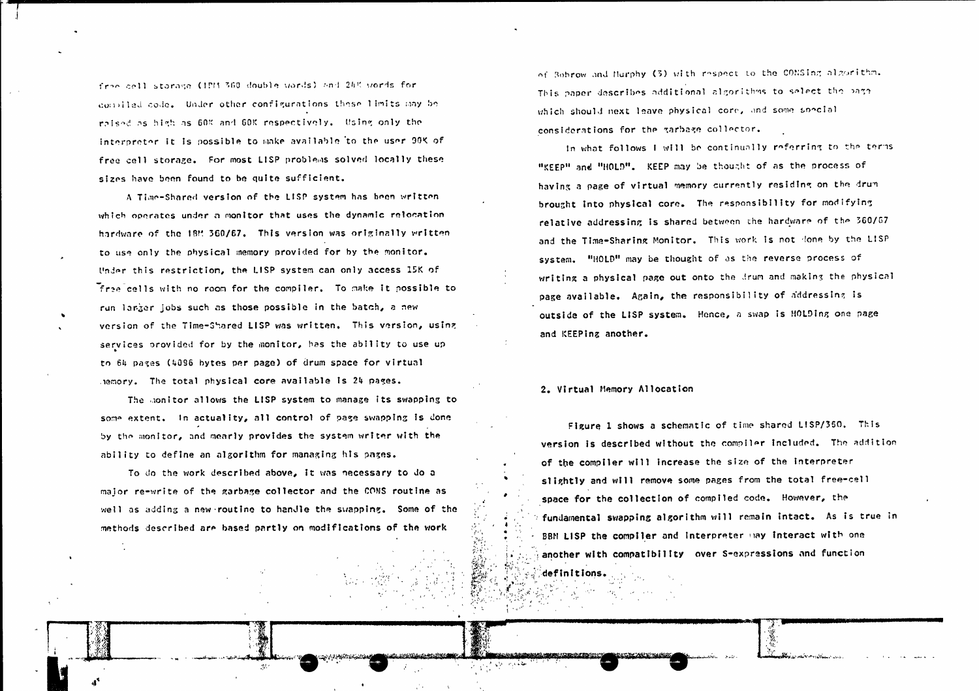free cell starage (1883-360 double words) and 245 words for compiled code. Under other configurations these limits hay be raised as high as 60% and 60% respectively. Using only the interpreter it is possible to make available to the user 90K of free cell storage. For most LISP problems solved locally these sizes have been found to be quite sufficient.

A Time-Shared version of the LISP system has been written which operates under a monitor that uses the dynamic relocation hardware of the 18M 360/67. This version was originally written to use only the physical memory provided for by the monitor. Under this restriction, the LISP system can only access 15K of free cells with no room for the compiler. To make it possible to run larger jobs such as those possible in the batch, a new version of the Time-Shared LISP was written. This version, using services provided for by the monitor, has the ability to use up to 64 pages (4096 bytes per page) of drum space for virtual hemory. The total physical core available is 24 pages.

The monitor allows the LISP system to manage its swapping to some extent. In actuality, all control of page swapping is done by the monitor, and mearly provides the system writer with the ability to define an algorithm for managing his pages.

To do the work described above, it was necessary to do a major re-write of the garbage collector and the CONS routine as well as adding a new routine to handle the swapping. Some of the methods described are based partly on modifications of the work

<u>المختلف الاشتراكية الاسترادية</u>

of Bobrow and Hurphy (3) with respect to the CONSing algorithm. This paper describes additional algorithms to select the page which should next leave physical core, and some special considerations for the tarbase collector.

In what follows I will be continually referring to the terms "KEEP" and "HOLD". KEEP may be thought of as the process of having a page of virtual memory currently residing on the drum brought into physical core. The responsibility for modifying relative addressing is shared between the hardware of the 360/67 and the Time-Sharing Monitor. This work is not done by the LISP system. "HOLD" may be thought of as the reverse process of writing a physical page out onto the drum and making the physical page available. Again, the responsibility of addressing is outside of the LISP system. Hence, a swap is HOLDing one page and KEEPing another.

#### 2. Virtual Memory Allocation

Figure 1 shows a schematic of time shared LISP/350. This version is described without the compiler included. The addition of the compiler will increase the size of the interpreter slightly and will remove some pages from the total free-cell space for the collection of compiled code. However, the fundamental swapping algorithm will remain intact. As is true in BBN LISP the compiler and interpreter may interact with one another with compatibility over S-expressions and function definitions.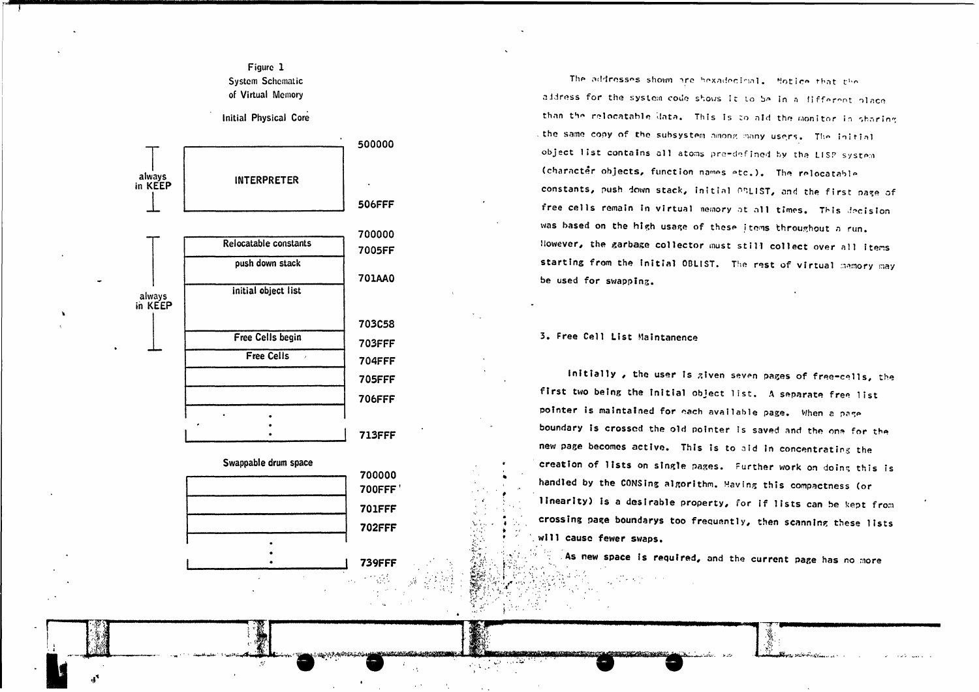## Figure 1 **System Schematic** of Virtual Memory

Initial Physical Core



**739FFF** 

The addresses shown are bexadecimal. Motice that the address for the system code shows it to be in a different place than the relocatable data. This is to aid the monitor in sharing the same copy of the subsystem among many users. The initial object list contains all atoms pre-defined by the LISP system (character objects, function names etc.). The relocatable constants, push down stack, initial OSLIST, and the first page of free cells remain in virtual nemory at all times. This decision was based on the high usage of these items throughout a run. However, the garbage collector must still collect over all items starting from the initial OBLIST. The rest of virtual memory may be used for swapping.

3. Free Cell List Maintanence

Initially, the user is given seven pages of free-cells, the first two being the initial object list. A separate free list pointer is maintained for each available page. When a page boundary is crossed the old pointer is saved and the one for the new page becomes active. This is to aid in concentrating the creation of lists on single pages. Further work on doing this is handled by the CONSing algorithm. Having this compactness (or linearity) is a desirable property, for if lists can be kept from crossing page boundarys too frequently, then scanning these lists will cause fewer swaps.

As new space is required, and the current page has no more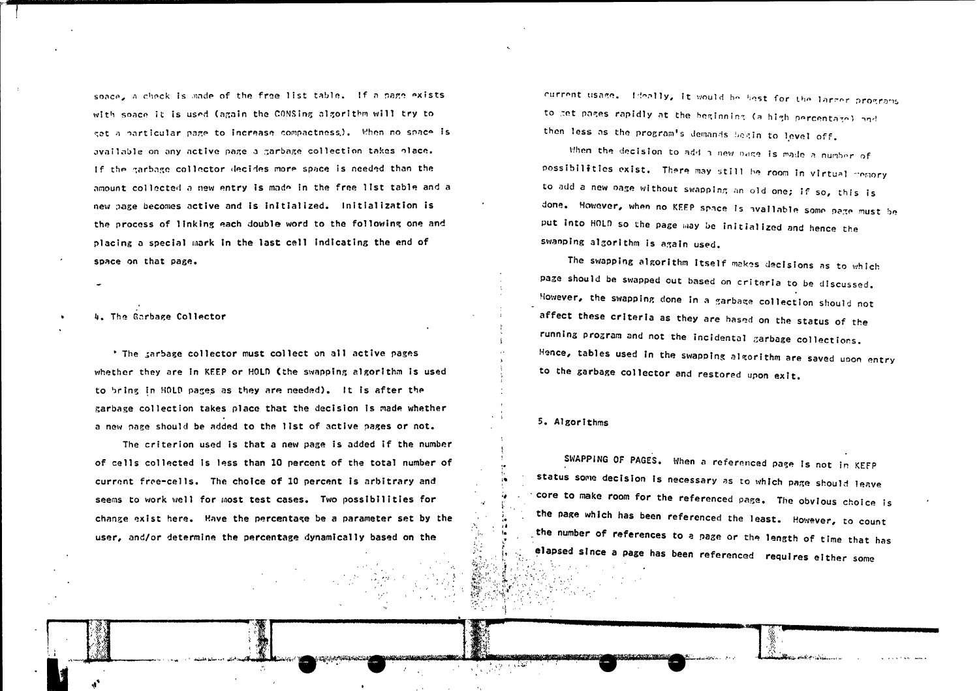space, a check is made of the free list table. If a page exists with soace it is used (again the CONSing algorithm will try to get a particular page to increase compactness). When no space is available on any active page a garbage collection takes place. If the garbage collector decides more space is needed than the amount collected a new entry is made in the free list table and a new page becomes active and is initialized. Initialization is the process of linking each double word to the following one and placing a special mark in the last cell indicating the end of space on that page.

## 4. The Garbage Collector

\* The tarbage collector must collect on all active pages whether they are in KEEP or HOLD (the swapping algorithm is used to bring in HOLD pages as they are needed). It is after the garbage collection takes place that the decision is made whether a new page should be added to the list of active pages or not.

The criterion used is that a new page is added if the number of cells collected is less than 10 percent of the total number of current free-cells. The choice of 10 percent is arbitrary and seems to work well for most test cases. Two possibilities for change exist here. Have the percentage be a parameter set by the user, and/or determine the percentage dynamically based on the

current usage. Ideally, it would be best for the larger programs to get pages rapidly at the beginning (a high percentage) and then less as the program's demands begin to level off.

When the decision to add a new page is made a number of possibilities exist. There may still be room in virtual memory to add a new page without swapping an old one; if so, this is done. However, when no KEEP space is available some page must be put into HOLD so the page may be initialized and hence the swanping algorithm is again used.

The swapping algorithm itself makes decisions as to which page should be swapped out based on criteria to be discussed. However, the swapping done in a garbage collection should not affect these criteria as they are based on the status of the running program and not the incidental garbage collections. Hence, tables used in the swapping algorithm are saved upon entry to the garbage collector and restored upon exit.

#### 5. Algorithms

SWAPPING OF PAGES. When a referenced page is not in KEFP status some decision is necessary as to which page should leave core to make room for the referenced page. The obvious choice is the page which has been referenced the least. However, to count the number of references to a page or the length of time that has elapsed since a page has been referenced requires either some

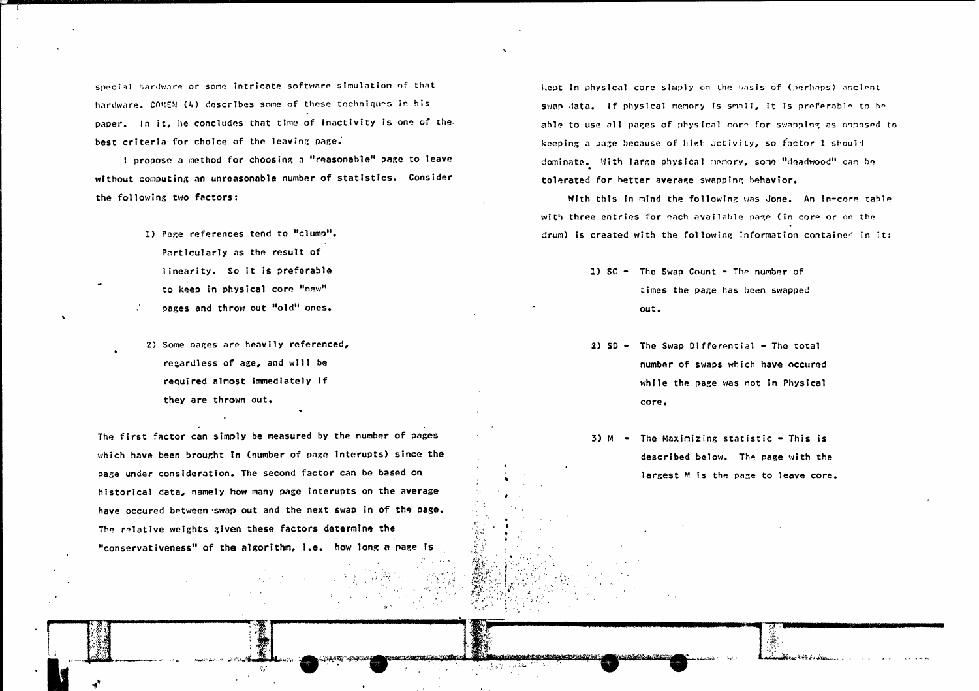special hardware or some intricate software simulation of that hardware, CONEN (4) describes some of these techniques in his paper. In it, he concludes that time of inactivity is one of the best criteria for choice of the leaving page.

I propose a method for choosing a "reasonable" page to leave without computing an unreasonable number of statistics. Consider the following two factors:

- 1) Page references tend to "clump". Particularly as the result of linearity. So it is preferable to keep in physical core "new"
- pages and throw out "old" ones.
- 2) Some pages are heavily referenced, regardless of age, and will be required almost immediately if they are thrown out.

The first factor can simply be measured by the number of pages which have been brought in (number of page interupts) since the page under consideration. The second factor can be based on historical data, namely how many page interupts on the average have occured between swap out and the next swap in of the page. The relative weights given these factors determine the "conservativeness" of the algorithm, i.e. how long a page is

kept in physical core simply on the basis of (perhaps) ancient swap data. If physical memory is small, it is preferable to be able to use all pages of physical core for swapping as opposed to keeping a page because of high activity, so factor 1 should dominate. With large physical memory, some "deadwood" can be tolerated for better average swapping behavior.

With this in mind the following was done. An in-core table with three entries for each available page (in core or on the drum) is created with the following information contained in it:

- 1)  $SC The Swap Count The number of$ times the page has been swapped out.
- 2)  $SD The Swap Differential The total$ number of swaps which have occured while the page was not in Physical core.
- 3)  $M -$  The Maximizing statistic This is described below. The page with the largest M is the page to leave core.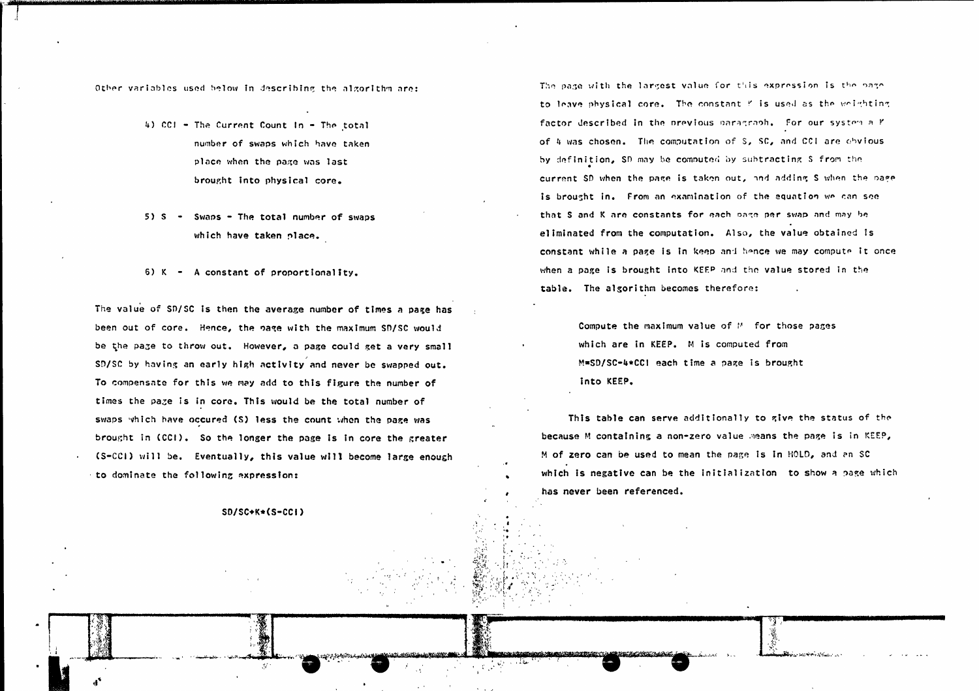Other variables used below in describing the algorithm are:

- 4) CCI The Current Count In The total number of swaps which have taken place when the page was last brought into physical core.
- $5)$  S  $\cdot$  Swaps  $\cdot$  The total number of swaps which have taken place.
- $6)$  K A constant of proportionality.

The value of SD/SC is then the average number of times a page has been out of core. Hence, the page with the maximum SD/SC would be the page to throw out. However, a page could get a very small SD/SC by having an early high activity and never be swapped out. To compensate for this we may add to this figure the number of times the page is in core. This would be the total number of swaps which have occured (S) less the count when the page was brought in (CCI). So the longer the page is in core the greater (S-CCI) will be. Eventually, this value will become large enough to dominate the following expression:

 $SD/SC+K*(S-CC+)$ 

The page with the largest value for this expression is the page to leave physical core. The constant f is used as the weighting factor described in the previous paragraph. For our system a Y of 4 was chosen. The computation of S, SC, and CCI are obvious by definition, SD may be computed by subtracting S from the current SD when the page is taken out, and adding S when the page is brought in. From an examination of the equation we can see that S and K are constants for each page per swap and may be eliminated from the computation. Also, the value obtained is constant while a page is in keep and hence we may compute it once when a page is brought into KEEP and the value stored in the table. The algorithm becomes therefore:

> Compute the maximum value of  $M$  for those pages which are in KEEP. M is computed from M=SD/SC-4\*CCI each time a page is brought into KEEP.

This table can serve additionally to give the status of the because M containing a non-zero value means the page is in KEEP, M of zero can be used to mean the page is in HOLD, and an SC which is negative can be the initialization to show a page which has never been referenced.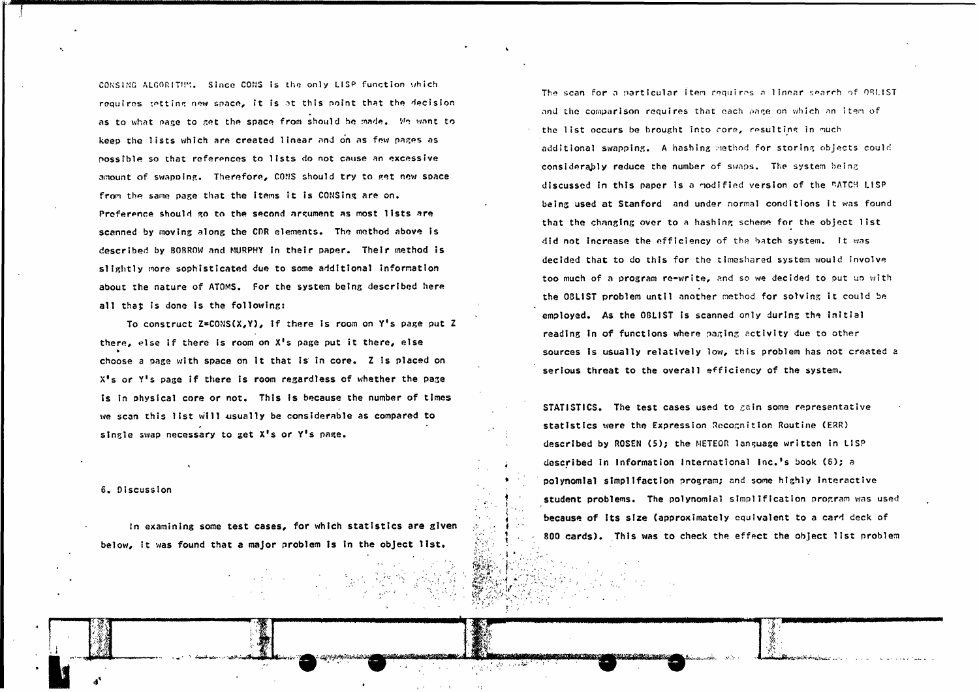CONSING ALGORITIM. Since CONS is the only LISP function which requires tetting new space, it is at this point that the decision as to what page to get the space from should be made. Me want to keep the lists which are created linear and on as few pages as possible so that references to lists do not cause an excessive amount of swapping. Therefore, CONS should try to get new space from the same page that the items it is CONSing are on. Preference should go to the second argument as most lists are scanned by moving along the CDR elements. The method above is described by BOBROW and MURPHY in their paper. Their method is slightly more sophisticated due to some additional information about the nature of ATOMS. For the system being described here all that is done is the following:

To construct  $Z = CONS(X,Y)$ , if there is room on Y's page put Z there, else if there is room on X's page put it there, else choose a page with space on it that is in core. Z is placed on X's or Y's page if there is room regardless of whether the page is in physical core or not. This is because the number of times we scan this list will usually be considerable as compared to single swap necessary to get X's or Y's page.

6. Discussion

In examining some test cases, for which statistics are given below, it was found that a major problem is in the object list.

The scan for a particular item requires a linear search of OBLIST and the comparison requires that each page on which an item of the list occurs be brought into core, resulting in much additional swapping. A hashing method for storing objects could considerably reduce the number of swaps. The system being discussed in this paper is a modified version of the BATCH LISP being used at Stanford and under normal conditions it was found that the changing over to a hashing scheme for the object list did not increase the efficiency of the batch system. It was decided that to do this for the timeshared system would involve too much of a program re-write, and so we decided to put up with the OBLIST problem until another method for solving it could be employed. As the OBLIST is scanned only during the initial reading in of functions where paging activity due to other sources is usually relatively low, this problem has not created a serious threat to the overall efficiency of the system.

STATISTICS. The test cases used to gain some representative statistics were the Expression Recognition Routine (ERR) described by ROSEN (5); the METEOR language written in LISP described in Information International Inc.'s book (6); a polynomial simplifaction program; and some highly interactive student problems. The polynomial simplification program was used because of its size (approximately equivalent to a card deck of 800 cards). This was to check the effect the object list problem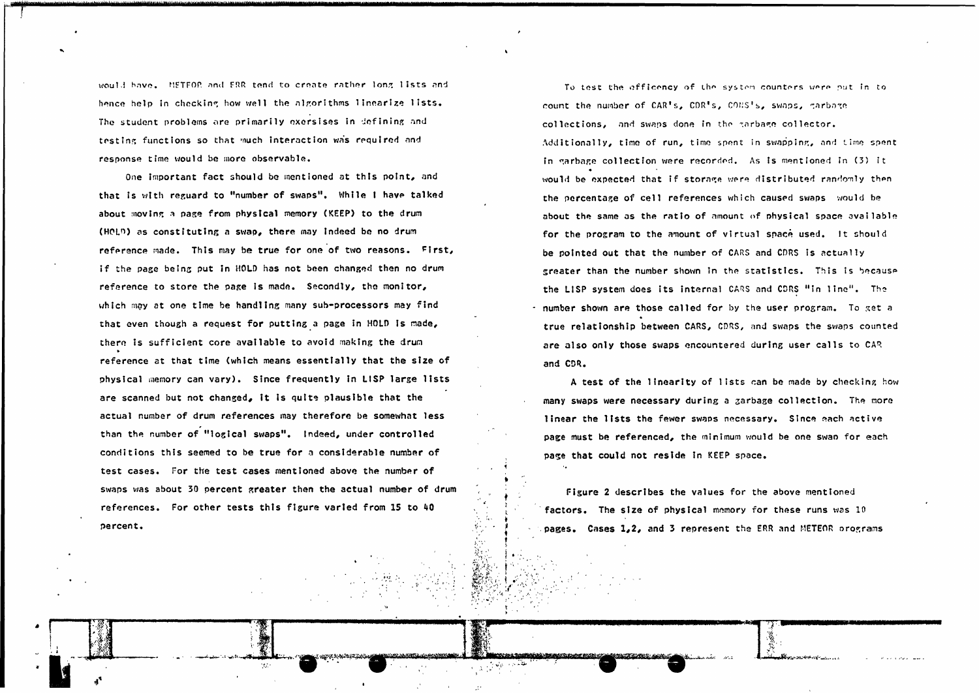would have. HETFOR and FRR tend to create rather long lists and hence help in checking how well the algorithms linearize lists. The student problems are primarily exersises in defining and testing functions so that much interaction was required and response time would be more observable.

One important fact should be mentioned at this point, and that is with reguard to "number of swaps". While I have talked about moving a page from physical memory (KEEP) to the drum (HOLD) as constituting a swap, there may indeed be no drum reference made. This may be true for one of two reasons. First, if the page being put in HOLD has not been changed then no drum reference to store the page is made. Secondly, the monitor, which may at one time be handling many sub-processors may find that even though a request for putting a page in HOLD is made, there is sufficient core available to avoid making the drum reference at that time (which means essentially that the size of physical memory can vary). Since frequently in LISP large lists are scanned but not changed, it is quite plausible that the actual number of drum references may therefore be somewhat less than the number of "logical swaps". Indeed, under controlled conditions this seemed to be true for a considerable number of test cases. For the test cases mentioned above the number of swaps was about 30 percent greater then the actual number of drum references. For other tests this figure varied from 15 to 40 percent.

187

ment di tributi l'alba

To test the officency of the system counters were put in to count the number of CAR's, CDR's, CONS's, swaps, garbage collections, and swaps done in the garbage collector. Additionally, time of run, time spent in swapping, and time spent in garbage collection were recorded. As is mentioned in (3) it would be expected that if storage were distributed randomly then the percentage of cell references which caused swaps would be about the same as the ratio of amount of physical space available for the program to the amount of virtual space used. It should be pointed out that the number of CARS and CDRS is actually sreater than the number shown in the statistics. This is because the LISP system does its internal CARS and CDRS "in line". The Inumber shown are those called for by the user program. To get a true relationship between CARS, CDRS, and swaps the swaps counted are also only those swaps encountered during user calls to CAR and CDR.

A test of the linearity of lists can be made by checking how many swaps were necessary during a garbage collection. The more linear the lists the fewer swaps necessary. Since each active page must be referenced, the minimum would be one swap for each page that could not reside in KEEP space.

Figure 2 describes the values for the above mentioned factors. The size of physical memory for these runs was 10 pages. Cases 1,2, and 3 represent the ERR and METEOR orograms